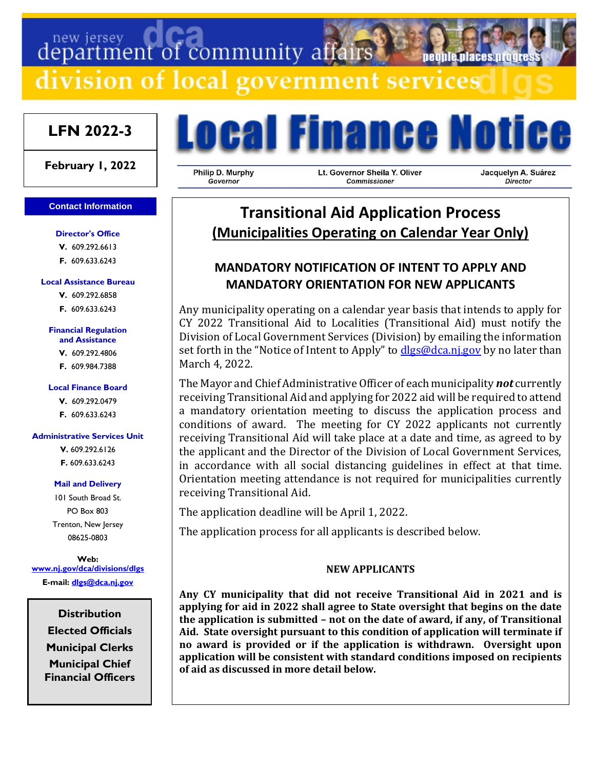# department of community affairs

division of local government services

# **LFN 2022-3**

**February 1, 2022**

#### **Contact Information**

**Director's Office V.** 609.292.6613

**F.** 609.633.6243

#### **Local Assistance Bureau**

**V.** 609.292.6858 **F.** 609.633.6243

#### **Financial Regulation**

**and Assistance**

**V.** 609.292.4806 **F.** 609.984.7388

#### **Local Finance Board**

**V.** 609.292.0479

**F.** 609.633.6243

#### **Administrative Services Unit**

**V.** 609.292.6126 **F.** 609.633.6243

#### **Mail and Delivery**

101 South Broad St. PO Box 803 Trenton, New Jersey 08625-0803

**Web: [www.nj.gov/dca/divisions/dlgs](http://www.nj.gov/dca/divisions/dlgs) E-mail: [dlgs@dca.nj.gov](mailto:dlgs@dca.nj.gov)**

> **Distribution Elected Officials Municipal Clerks Municipal Chief Financial Officers**

# **Ocal Finance Notice**

Philip D. Murphy Governor

Lt. Governor Sheila Y. Oliver Commissioner

Jacquelyn A. Suárez Director

people places progre

# **Transitional Aid Application Process (Municipalities Operating on Calendar Year Only)**

# **MANDATORY NOTIFICATION OF INTENT TO APPLY AND MANDATORY ORIENTATION FOR NEW APPLICANTS**

Any municipality operating on a calendar year basis that intends to apply for CY 2022 Transitional Aid to Localities (Transitional Aid) must notify the Division of Local Government Services (Division) by emailing the information set forth in the "Notice of Intent to Apply" to  $d\text{lgs@dca.ni.gov}$  by no later than March 4, 2022.

The Mayor and Chief Administrative Officer of each municipality *not* currently receiving Transitional Aid and applying for 2022 aid will be required to attend a mandatory orientation meeting to discuss the application process and conditions of award. The meeting for CY 2022 applicants not currently receiving Transitional Aid will take place at a date and time, as agreed to by the applicant and the Director of the Division of Local Government Services, in accordance with all social distancing guidelines in effect at that time. Orientation meeting attendance is not required for municipalities currently receiving Transitional Aid.

The application deadline will be April 1, 2022.

The application process for all applicants is described below.

#### **NEW APPLICANTS**

**Any CY municipality that did not receive Transitional Aid in 2021 and is applying for aid in 2022 shall agree to State oversight that begins on the date the application is submitted – not on the date of award, if any, of Transitional Aid. State oversight pursuant to this condition of application will terminate if no award is provided or if the application is withdrawn. Oversight upon application will be consistent with standard conditions imposed on recipients of aid as discussed in more detail below.**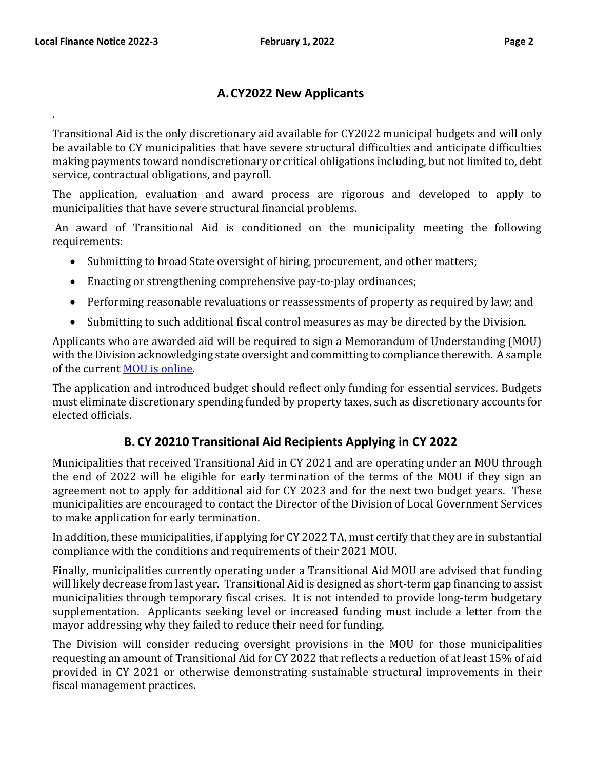.

# **A.CY2022 New Applicants**

Transitional Aid is the only discretionary aid available for CY2022 municipal budgets and will only be available to CY municipalities that have severe structural difficulties and anticipate difficulties making payments toward nondiscretionary or critical obligations including, but not limited to, debt service, contractual obligations, and payroll.

The application, evaluation and award process are rigorous and developed to apply to municipalities that have severe structural financial problems.

An award of Transitional Aid is conditioned on the municipality meeting the following requirements:

- Submitting to broad State oversight of hiring, procurement, and other matters;
- Enacting or strengthening comprehensive pay-to-play ordinances;
- Performing reasonable revaluations or reassessments of property as required by law; and
- Submitting to such additional fiscal control measures as may be directed by the Division.

Applicants who are awarded aid will be required to sign a Memorandum of Understanding (MOU) with the Division acknowledging state oversight and committing to compliance therewith. A sample of the current [MOU is online.](http://www.nj.gov/dca/divisions/dlgs/resources/muni_st_docs/ta_generic_mou_cy2011_fy_2012.doc) 

The application and introduced budget should reflect only funding for essential services. Budgets must eliminate discretionary spending funded by property taxes, such as discretionary accounts for elected officials.

# **B. CY 20210 Transitional Aid Recipients Applying in CY 2022**

Municipalities that received Transitional Aid in CY 2021 and are operating under an MOU through the end of 2022 will be eligible for early termination of the terms of the MOU if they sign an agreement not to apply for additional aid for CY 2023 and for the next two budget years. These municipalities are encouraged to contact the Director of the Division of Local Government Services to make application for early termination.

In addition, these municipalities, if applying for CY 2022 TA, must certify that they are in substantial compliance with the conditions and requirements of their 2021 MOU.

Finally, municipalities currently operating under a Transitional Aid MOU are advised that funding will likely decrease from last year. Transitional Aid is designed as short-term gap financing to assist municipalities through temporary fiscal crises. It is not intended to provide long-term budgetary supplementation. Applicants seeking level or increased funding must include a letter from the mayor addressing why they failed to reduce their need for funding.

The Division will consider reducing oversight provisions in the MOU for those municipalities requesting an amount of Transitional Aid for CY 2022 that reflects a reduction of at least 15% of aid provided in CY 2021 or otherwise demonstrating sustainable structural improvements in their fiscal management practices.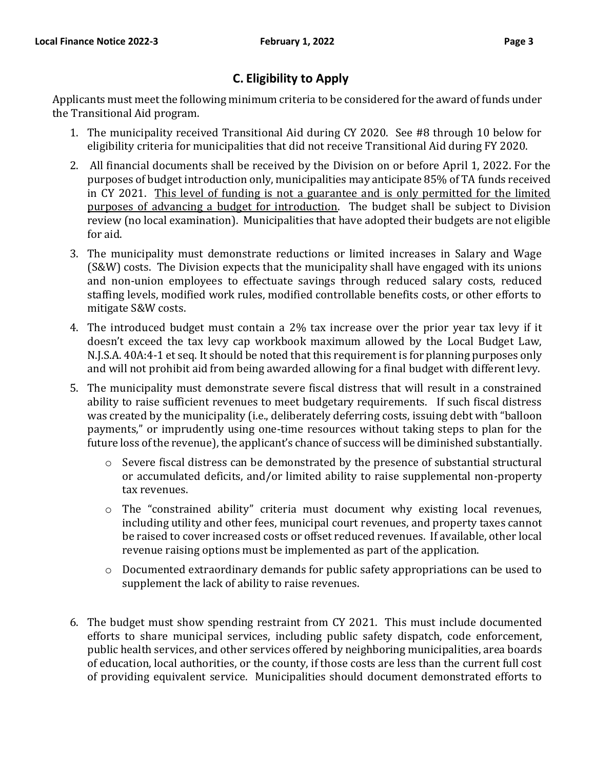# **C. Eligibility to Apply**

Applicants must meet the following minimum criteria to be considered for the award of funds under the Transitional Aid program.

- 1. The municipality received Transitional Aid during CY 2020. See #8 through 10 below for eligibility criteria for municipalities that did not receive Transitional Aid during FY 2020.
- 2. All financial documents shall be received by the Division on or before April 1, 2022. For the purposes of budget introduction only, municipalities may anticipate 85% of TA funds received in CY 2021. This level of funding is not a guarantee and is only permitted for the limited purposes of advancing a budget for introduction. The budget shall be subject to Division review (no local examination). Municipalities that have adopted their budgets are not eligible for aid.
- 3. The municipality must demonstrate reductions or limited increases in Salary and Wage (S&W) costs. The Division expects that the municipality shall have engaged with its unions and non-union employees to effectuate savings through reduced salary costs, reduced staffing levels, modified work rules, modified controllable benefits costs, or other efforts to mitigate S&W costs.
- 4. The introduced budget must contain a 2% tax increase over the prior year tax levy if it doesn't exceed the tax levy cap workbook maximum allowed by the Local Budget Law, N.J.S.A. 40A:4-1 et seq. It should be noted that this requirement is for planning purposes only and will not prohibit aid from being awarded allowing for a final budget with different levy.
- 5. The municipality must demonstrate severe fiscal distress that will result in a constrained ability to raise sufficient revenues to meet budgetary requirements. If such fiscal distress was created by the municipality (i.e., deliberately deferring costs, issuing debt with "balloon payments," or imprudently using one-time resources without taking steps to plan for the future loss of the revenue), the applicant's chance of success will be diminished substantially.
	- o Severe fiscal distress can be demonstrated by the presence of substantial structural or accumulated deficits, and/or limited ability to raise supplemental non-property tax revenues.
	- o The "constrained ability" criteria must document why existing local revenues, including utility and other fees, municipal court revenues, and property taxes cannot be raised to cover increased costs or offset reduced revenues. If available, other local revenue raising options must be implemented as part of the application.
	- o Documented extraordinary demands for public safety appropriations can be used to supplement the lack of ability to raise revenues.
- 6. The budget must show spending restraint from CY 2021. This must include documented efforts to share municipal services, including public safety dispatch, code enforcement, public health services, and other services offered by neighboring municipalities, area boards of education, local authorities, or the county, if those costs are less than the current full cost of providing equivalent service. Municipalities should document demonstrated efforts to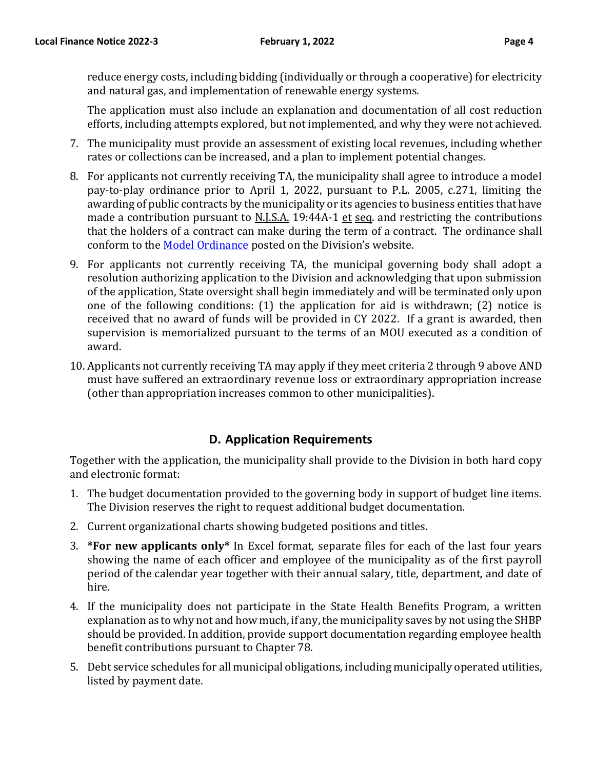The application must also include an explanation and documentation of all cost reduction efforts, including attempts explored, but not implemented, and why they were not achieved.

- 7. The municipality must provide an assessment of existing local revenues, including whether rates or collections can be increased, and a plan to implement potential changes.
- 8. For applicants not currently receiving TA, the municipality shall agree to introduce a model pay-to-play ordinance prior to April 1, 2022, pursuant to P.L. 2005, c.271, limiting the awarding of public contracts by the municipality or its agencies to business entities that have made a contribution pursuant to N.J.S.A. 19:44A-1 et seq. and restricting the contributions that the holders of a contract can make during the term of a contract. The ordinance shall conform to the [Model Ordinance](http://www.nj.gov/dca/divisions/dlgs/resources/muni_st_docs/pay_to_play_ordinance-contractor.doc) posted on the Division's website.
- 9. For applicants not currently receiving TA, the municipal governing body shall adopt a resolution authorizing application to the Division and acknowledging that upon submission of the application, State oversight shall begin immediately and will be terminated only upon one of the following conditions: (1) the application for aid is withdrawn; (2) notice is received that no award of funds will be provided in CY 2022. If a grant is awarded, then supervision is memorialized pursuant to the terms of an MOU executed as a condition of award.
- 10. Applicants not currently receiving TA may apply if they meet criteria 2 through 9 above AND must have suffered an extraordinary revenue loss or extraordinary appropriation increase (other than appropriation increases common to other municipalities).

# **D. Application Requirements**

Together with the application, the municipality shall provide to the Division in both hard copy and electronic format:

- 1. The budget documentation provided to the governing body in support of budget line items. The Division reserves the right to request additional budget documentation.
- 2. Current organizational charts showing budgeted positions and titles.
- 3. **\*For new applicants only\*** In Excel format, separate files for each of the last four years showing the name of each officer and employee of the municipality as of the first payroll period of the calendar year together with their annual salary, title, department, and date of hire.
- 4. If the municipality does not participate in the State Health Benefits Program, a written explanation as to why not and how much, if any, the municipality saves by not using the SHBP should be provided. In addition, provide support documentation regarding employee health benefit contributions pursuant to Chapter 78.
- 5. Debt service schedules for all municipal obligations, including municipally operated utilities, listed by payment date.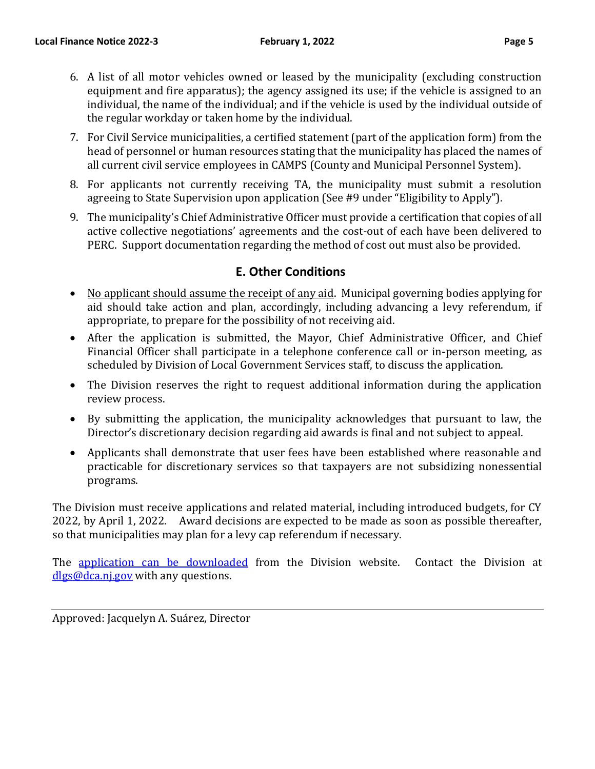- 6. A list of all motor vehicles owned or leased by the municipality (excluding construction equipment and fire apparatus); the agency assigned its use; if the vehicle is assigned to an individual, the name of the individual; and if the vehicle is used by the individual outside of the regular workday or taken home by the individual.
- 7. For Civil Service municipalities, a certified statement (part of the application form) from the head of personnel or human resources stating that the municipality has placed the names of all current civil service employees in CAMPS (County and Municipal Personnel System).
- 8. For applicants not currently receiving TA, the municipality must submit a resolution agreeing to State Supervision upon application (See #9 under "Eligibility to Apply").
- 9. The municipality's Chief Administrative Officer must provide a certification that copies of all active collective negotiations' agreements and the cost-out of each have been delivered to PERC. Support documentation regarding the method of cost out must also be provided.

### **E. Other Conditions**

- No applicant should assume the receipt of any aid. Municipal governing bodies applying for aid should take action and plan, accordingly, including advancing a levy referendum, if appropriate, to prepare for the possibility of not receiving aid.
- After the application is submitted, the Mayor, Chief Administrative Officer, and Chief Financial Officer shall participate in a telephone conference call or in-person meeting, as scheduled by Division of Local Government Services staff, to discuss the application.
- The Division reserves the right to request additional information during the application review process.
- By submitting the application, the municipality acknowledges that pursuant to law, the Director's discretionary decision regarding aid awards is final and not subject to appeal.
- Applicants shall demonstrate that user fees have been established where reasonable and practicable for discretionary services so that taxpayers are not subsidizing nonessential programs.

The Division must receive applications and related material, including introduced budgets, for CY 2022, by April 1, 2022. Award decisions are expected to be made as soon as possible thereafter, so that municipalities may plan for a levy cap referendum if necessary.

The [application can be downloaded](http://www.nj.gov/dca/divisions/dlgs/resources/muni_st_docs/cy2016_transitional_aid_application.doc) from the Division website. Contact the Division at [dlgs@dca.nj.gov](mailto:dlgs@dca.nj.gov) with any questions.

Approved: Jacquelyn A. Suárez, Director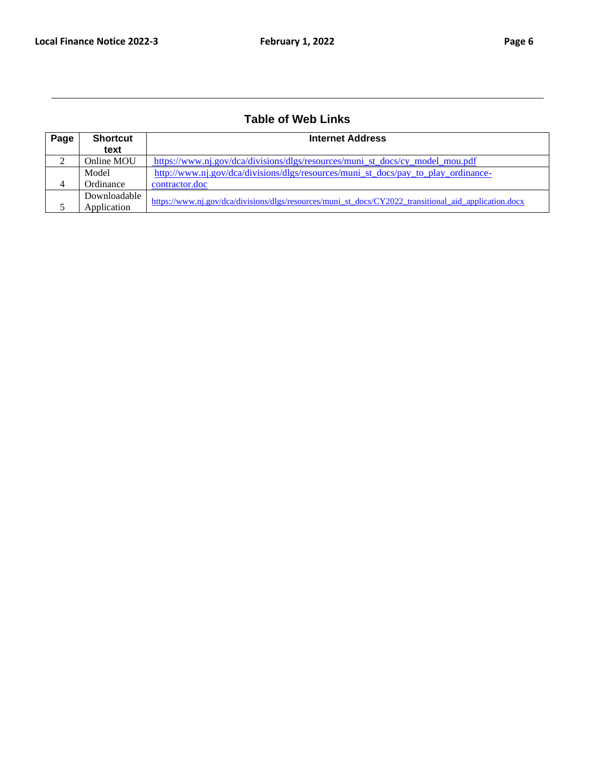# **Table of Web Links**

| Page | <b>Shortcut</b> | <b>Internet Address</b>                                                                               |  |  |  |  |
|------|-----------------|-------------------------------------------------------------------------------------------------------|--|--|--|--|
|      | text            |                                                                                                       |  |  |  |  |
| ∠    | Online MOU      | https://www.nj.gov/dca/divisions/dlgs/resources/muni st docs/cy model mou.pdf                         |  |  |  |  |
|      | Model           | http://www.nj.gov/dca/divisions/dlgs/resources/muni st docs/pay to play ordinance-                    |  |  |  |  |
| 4    | Ordinance       | contractor.doc                                                                                        |  |  |  |  |
|      | Downloadable    |                                                                                                       |  |  |  |  |
|      | Application     | https://www.nj.gov/dca/divisions/dlgs/resources/muni st docs/CY2022 transitional aid application.docx |  |  |  |  |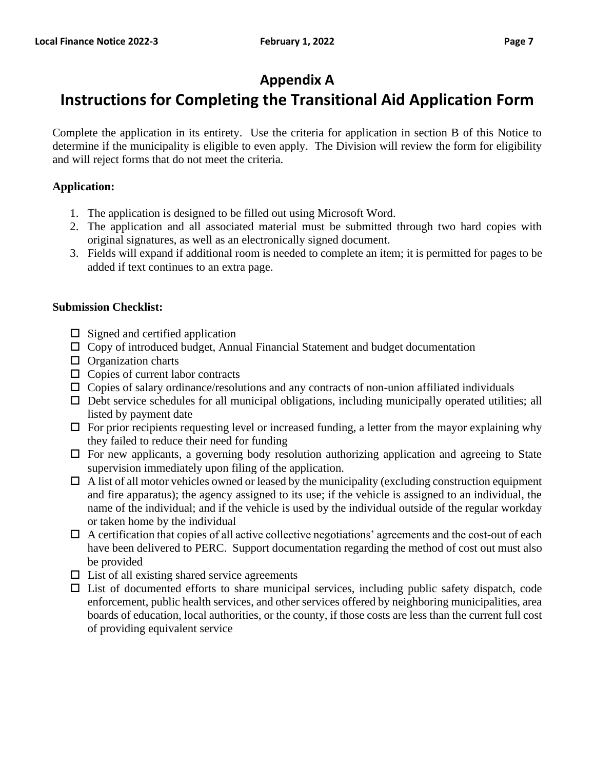# **Appendix A**

# **Instructions for Completing the Transitional Aid Application Form**

Complete the application in its entirety. Use the criteria for application in section B of this Notice to determine if the municipality is eligible to even apply. The Division will review the form for eligibility and will reject forms that do not meet the criteria.

#### **Application:**

- 1. The application is designed to be filled out using Microsoft Word.
- 2. The application and all associated material must be submitted through two hard copies with original signatures, as well as an electronically signed document.
- 3. Fields will expand if additional room is needed to complete an item; it is permitted for pages to be added if text continues to an extra page.

#### **Submission Checklist:**

- $\square$  Signed and certified application
- $\Box$  Copy of introduced budget, Annual Financial Statement and budget documentation
- $\Box$  Organization charts
- □ Copies of current labor contracts
- $\Box$  Copies of salary ordinance/resolutions and any contracts of non-union affiliated individuals
- $\Box$  Debt service schedules for all municipal obligations, including municipally operated utilities; all listed by payment date
- $\Box$  For prior recipients requesting level or increased funding, a letter from the mayor explaining why they failed to reduce their need for funding
- $\Box$  For new applicants, a governing body resolution authorizing application and agreeing to State supervision immediately upon filing of the application.
- $\Box$  A list of all motor vehicles owned or leased by the municipality (excluding construction equipment and fire apparatus); the agency assigned to its use; if the vehicle is assigned to an individual, the name of the individual; and if the vehicle is used by the individual outside of the regular workday or taken home by the individual
- $\Box$  A certification that copies of all active collective negotiations' agreements and the cost-out of each have been delivered to PERC. Support documentation regarding the method of cost out must also be provided
- $\Box$  List of all existing shared service agreements
- $\Box$  List of documented efforts to share municipal services, including public safety dispatch, code enforcement, public health services, and other services offered by neighboring municipalities, area boards of education, local authorities, or the county, if those costs are less than the current full cost of providing equivalent service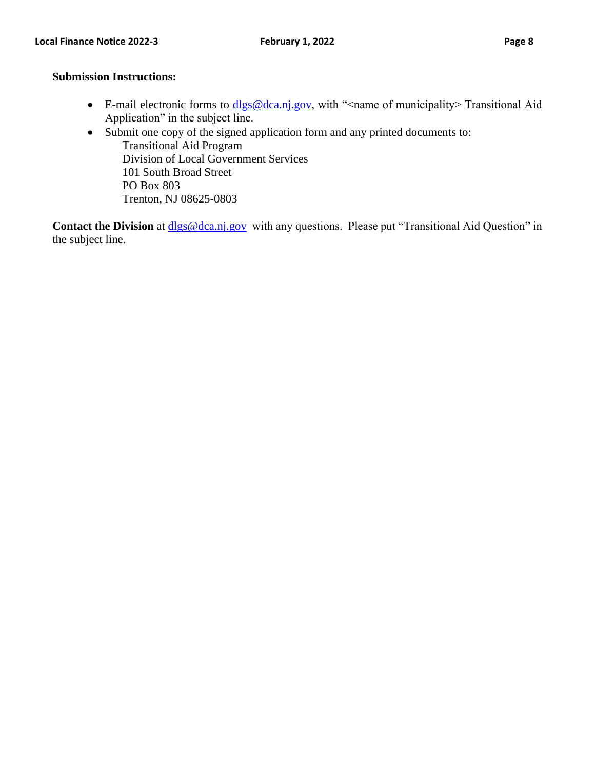#### **Submission Instructions:**

- E-mail electronic forms to  $dlgs@dca.nj.gov$ , with "<name of municipality> Transitional Aid Application" in the subject line.
- Submit one copy of the signed application form and any printed documents to: Transitional Aid Program Division of Local Government Services 101 South Broad Street PO Box 803 Trenton, NJ 08625-0803

**Contact the Division** at **dlgs@dca.nj.gov** with any questions. Please put "Transitional Aid Question" in the subject line.